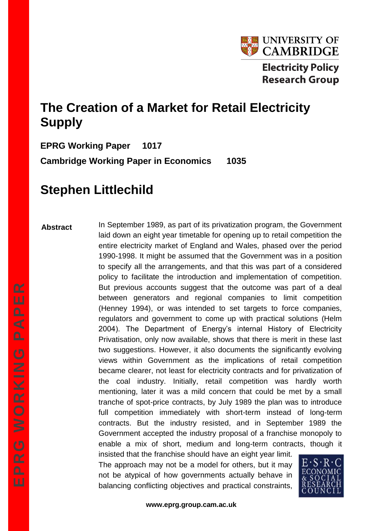

# **The Creation of a Market for Retail Electricity Supply**

**EPRG Working Paper 1017 Cambridge Working Paper in Economics 1035**

# **Stephen Littlechild**

#### **Abstract**

In September 1989, as part of its privatization program, the Government laid down an eight year timetable for opening up to retail competition the entire electricity market of England and Wales, phased over the period 1990-1998. It might be assumed that the Government was in a position to specify all the arrangements, and that this was part of a considered policy to facilitate the introduction and implementation of competition. But previous accounts suggest that the outcome was part of a deal between generators and regional companies to limit competition (Henney 1994), or was intended to set targets to force companies, regulators and government to come up with practical solutions (Helm 2004). The Department of Energy's internal History of Electricity Privatisation, only now available, shows that there is merit in these last two suggestions. However, it also documents the significantly evolving views within Government as the implications of retail competition became clearer, not least for electricity contracts and for privatization of the coal industry. Initially, retail competition was hardly worth mentioning, later it was a mild concern that could be met by a small tranche of spot-price contracts, by July 1989 the plan was to introduce full competition immediately with short-term instead of long-term contracts. But the industry resisted, and in September 1989 the Government accepted the industry proposal of a franchise monopoly to enable a mix of short, medium and long-term contracts, though it insisted that the franchise should have an eight year limit.

The approach may not be a model for others, but it may not be atypical of how governments actually behave in balancing conflicting objectives and practical constraints,

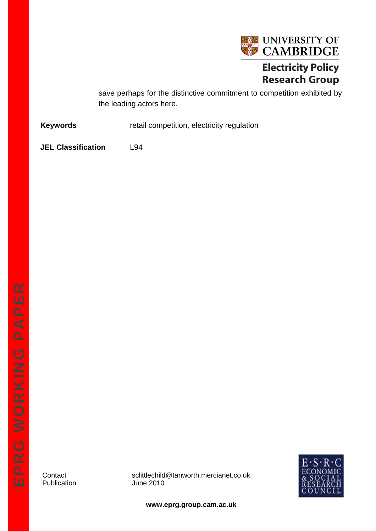

# **Electricity Policy Research Group**

save perhaps for the distinctive commitment to competition exhibited by the leading actors here.

**Keywords retail competition, electricity regulation** 

**JEL Classification** L94

Publication

Contact sclittlechild@tanworth.mercianet.co.uk<br>Publication June 2010



**www.eprg.group.cam.ac.uk**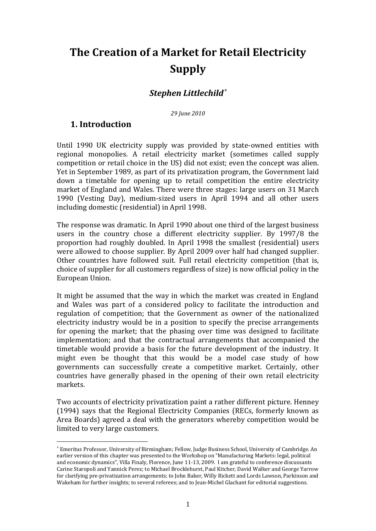# **The Creation of a Market for Retail Electricity Supply**

## *Stephen Littlechild*

*29 June 2010*

#### **1. Introduction**

<u>.</u>

Until 1990 UK electricity supply was provided by state-owned entities with regional monopolies. A retail electricity market (sometimes called supply competition or retail choice in the US) did not exist; even the concept was alien. Yet in September 1989, as part of its privatization program, the Government laid down a timetable for opening up to retail competition the entire electricity market of England and Wales. There were three stages: large users on 31 March 1990 (Vesting Day), medium-sized users in April 1994 and all other users including domestic (residential) in April 1998.

The response was dramatic. In April 1990 about one third of the largest business users in the country chose a different electricity supplier. By 1997/8 the proportion had roughly doubled. In April 1998 the smallest (residential) users were allowed to choose supplier. By April 2009 over half had changed supplier. Other countries have followed suit. Full retail electricity competition (that is, choice of supplier for all customers regardless of size) is now official policy in the European Union.

It might be assumed that the way in which the market was created in England and Wales was part of a considered policy to facilitate the introduction and regulation of competition; that the Government as owner of the nationalized electricity industry would be in a position to specify the precise arrangements for opening the market; that the phasing over time was designed to facilitate implementation; and that the contractual arrangements that accompanied the timetable would provide a basis for the future development of the industry. It might even be thought that this would be a model case study of how governments can successfully create a competitive market. Certainly, other countries have generally phased in the opening of their own retail electricity markets.

Two accounts of electricity privatization paint a rather different picture. Henney (1994) says that the Regional Electricity Companies (RECs, formerly known as Area Boards) agreed a deal with the generators whereby competition would be limited to very large customers.

Emeritus Professor, University of Birmingham; Fellow, Judge Business School, University of Cambridge. An earlier version of this chapter was presented to the Workshop on "Manufacturing Markets: legal, political and economic dynamics", Villa Finaly, Florence, June 11-13, 2009. I am grateful to conference discussants Carine Staropoli and Yannick Perez; to Michael Brocklehurst, Paul Kitcher, David Walker and George Yarrow for clarifying pre-privatization arrangements; to John Baker, Willy Rickett and Lords Lawson, Parkinson and Wakeham for further insights; to several referees; and to Jean-Michel Glachant for editorial suggestions.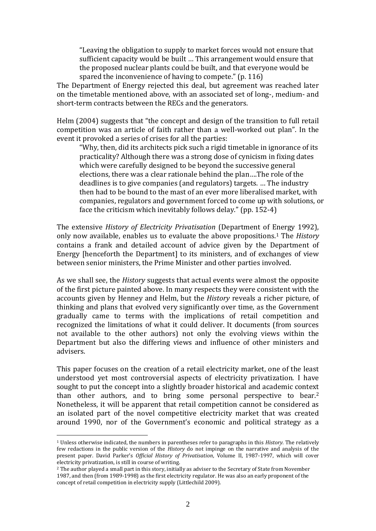"Leaving the obligation to supply to market forces would not ensure that sufficient capacity would be built … This arrangement would ensure that the proposed nuclear plants could be built, and that everyone would be spared the inconvenience of having to compete." (p. 116)

The Department of Energy rejected this deal, but agreement was reached later on the timetable mentioned above, with an associated set of long-, medium- and short-term contracts between the RECs and the generators.

Helm (2004) suggests that "the concept and design of the transition to full retail competition was an article of faith rather than a well-worked out plan". In the event it provoked a series of crises for all the parties:

"Why, then, did its architects pick such a rigid timetable in ignorance of its practicality? Although there was a strong dose of cynicism in fixing dates which were carefully designed to be beyond the successive general elections, there was a clear rationale behind the plan….The role of the deadlines is to give companies (and regulators) targets. … The industry then had to be bound to the mast of an ever more liberalised market, with companies, regulators and government forced to come up with solutions, or face the criticism which inevitably follows delay." (pp. 152-4)

The extensive *History of Electricity Privatisation* (Department of Energy 1992), only now available, enables us to evaluate the above propositions.<sup>1</sup> The *History* contains a frank and detailed account of advice given by the Department of Energy [henceforth the Department] to its ministers, and of exchanges of view between senior ministers, the Prime Minister and other parties involved.

As we shall see, the *History* suggests that actual events were almost the opposite of the first picture painted above. In many respects they were consistent with the accounts given by Henney and Helm, but the *History* reveals a richer picture, of thinking and plans that evolved very significantly over time, as the Government gradually came to terms with the implications of retail competition and recognized the limitations of what it could deliver. It documents (from sources not available to the other authors) not only the evolving views within the Department but also the differing views and influence of other ministers and advisers.

This paper focuses on the creation of a retail electricity market, one of the least understood yet most controversial aspects of electricity privatization. I have sought to put the concept into a slightly broader historical and academic context than other authors, and to bring some personal perspective to bear.<sup>2</sup> Nonetheless, it will be apparent that retail competition cannot be considered as an isolated part of the novel competitive electricity market that was created around 1990, nor of the Government's economic and political strategy as a

<u>.</u>

<sup>1</sup> Unless otherwise indicated, the numbers in parentheses refer to paragraphs in this *History*. The relatively few redactions in the public version of the *History* do not impinge on the narrative and analysis of the present paper. David Parker's *Official History of Privatisation*, Volume II, 1987-1997, which will cover electricity privatization, is still in course of writing.

<sup>2</sup> The author played a small part in this story, initially as adviser to the Secretary of State from November 1987, and then (from 1989-1998) as the first electricity regulator. He was also an early proponent of the concept of retail competition in electricity supply (Littlechild 2009).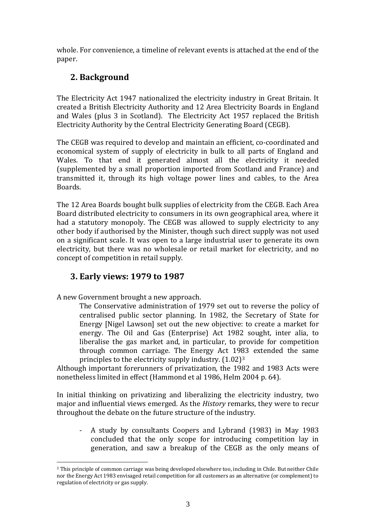whole. For convenience, a timeline of relevant events is attached at the end of the paper.

# **2. Background**

The Electricity Act 1947 nationalized the electricity industry in Great Britain. It created a British Electricity Authority and 12 Area Electricity Boards in England and Wales (plus 3 in Scotland). The Electricity Act 1957 replaced the British Electricity Authority by the Central Electricity Generating Board (CEGB).

The CEGB was required to develop and maintain an efficient, co-coordinated and economical system of supply of electricity in bulk to all parts of England and Wales. To that end it generated almost all the electricity it needed (supplemented by a small proportion imported from Scotland and France) and transmitted it, through its high voltage [power lines](http://en.wikipedia.org/wiki/Electric_power_transmission) and cables, to the Area Boards.

The 12 Area Boards bought bulk supplies of electricity from the CEGB. Each Area Board distributed electricity to consumers in its own geographical area, where it had a statutory monopoly. The CEGB was allowed to supply electricity to any other body if authorised by the Minister, though such direct supply was not used on a significant scale. It was open to a large industrial user to generate its own electricity, but there was no wholesale or retail market for electricity, and no concept of competition in retail supply.

# **3. Early views: 1979 to 1987**

A new Government brought a new approach.

1

The Conservative administration of 1979 set out to reverse the policy of centralised public sector planning. In 1982, the Secretary of State for Energy [Nigel Lawson] set out the new objective: to create a market for energy. The Oil and Gas (Enterprise) Act 1982 sought, inter alia, to liberalise the gas market and, in particular, to provide for competition through common carriage. The Energy Act 1983 extended the same principles to the electricity supply industry. (1.02)<sup>3</sup>

Although important forerunners of privatization, the 1982 and 1983 Acts were nonetheless limited in effect (Hammond et al 1986, Helm 2004 p. 64).

In initial thinking on privatizing and liberalizing the electricity industry, two major and influential views emerged. As the *History* remarks, they were to recur throughout the debate on the future structure of the industry.

- A study by consultants Coopers and Lybrand (1983) in May 1983 concluded that the only scope for introducing competition lay in generation, and saw a breakup of the CEGB as the only means of

<sup>3</sup> This principle of common carriage was being developed elsewhere too, including in Chile. But neither Chile nor the Energy Act 1983 envisaged retail competition for all customers as an alternative (or complement) to regulation of electricity or gas supply.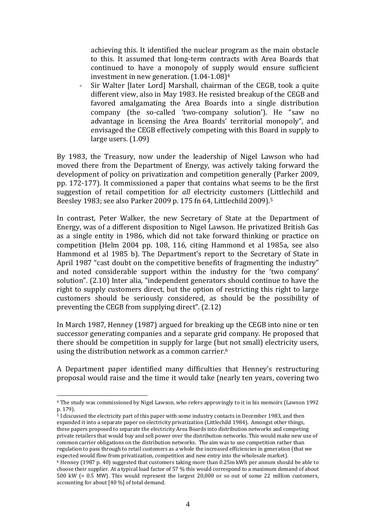achieving this. It identified the nuclear program as the main obstacle to this. It assumed that long-term contracts with Area Boards that continued to have a monopoly of supply would ensure sufficient investment in new generation. (1.04-1.08)<sup>4</sup>

Sir Walter [later Lord] Marshall, chairman of the CEGB, took a quite different view, also in May 1983. He resisted breakup of the CEGB and favored amalgamating the Area Boards into a single distribution company (the so-called 'two-company solution'). He "saw no advantage in licensing the Area Boards' territorial monopoly", and envisaged the CEGB effectively competing with this Board in supply to large users. (1.09)

By 1983, the Treasury, now under the leadership of Nigel Lawson who had moved there from the Department of Energy, was actively taking forward the development of policy on privatization and competition generally (Parker 2009, pp. 172-177). It commissioned a paper that contains what seems to be the first suggestion of retail competition for *all* electricity customers (Littlechild and Beesley 1983; see also Parker 2009 p. 175 fn 64, Littlechild 2009).<sup>5</sup>

In contrast, Peter Walker, the new Secretary of State at the Department of Energy, was of a different disposition to Nigel Lawson. He privatized British Gas as a single entity in 1986, which did not take forward thinking or practice on competition (Helm 2004 pp. 108, 116, citing Hammond et al 1985a, see also Hammond et al 1985 b). The Department's report to the Secretary of State in April 1987 "cast doubt on the competitive benefits of fragmenting the industry" and noted considerable support within the industry for the 'two company' solution". (2.10) Inter alia, "independent generators should continue to have the right to supply customers direct, but the option of restricting this right to large customers should be seriously considered, as should be the possibility of preventing the CEGB from supplying direct". (2.12)

In March 1987, Henney (1987) argued for breaking up the CEGB into nine or ten successor generating companies and a separate grid company. He proposed that there should be competition in supply for large (but not small) electricity users, using the distribution network as a common carrier.<sup>6</sup>

A Department paper identified many difficulties that Henney's restructuring proposal would raise and the time it would take (nearly ten years, covering two

1

<sup>4</sup> The study was commissioned by Nigel Lawson, who refers approvingly to it in his memoirs (Lawson 1992 p. 179).

<sup>5</sup> I discussed the electricity part of this paper with some industry contacts in December 1983, and then expanded it into a separate paper on electricity privatization (Littlechild 1984). Amongst other things, these papers proposed to separate the electricity Area Boards into distribution networks and competing private retailers that would buy and sell power over the distribution networks. This would make new use of common carrier obligations on the distribution networks. The aim was to use competition rather than regulation to pass through to retail customers as a whole the increased efficiencies in generation (that we expected would flow from privatization, competition and new entry into the wholesale market).

<sup>6</sup> Henney (1987 p. 40) suggested that customers taking more than 0.25m kWh per annum should be able to choose their supplier. At a typical load factor of 57 % this would correspond to a maximum demand of about 500 kW (= 0.5 MW). This would represent the largest 20,000 or so out of some 22 million customers, accounting for about [40 %] of total demand.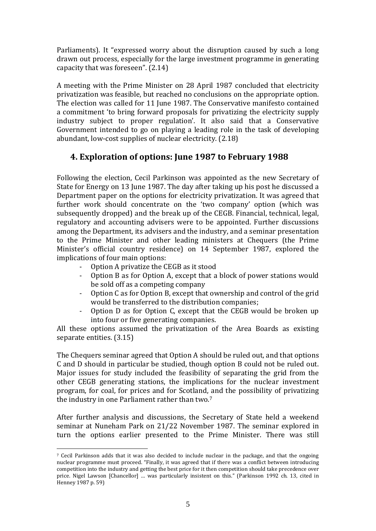Parliaments). It "expressed worry about the disruption caused by such a long drawn out process, especially for the large investment programme in generating capacity that was foreseen". (2.14)

A meeting with the Prime Minister on 28 April 1987 concluded that electricity privatization was feasible, but reached no conclusions on the appropriate option. The election was called for 11 June 1987. The Conservative manifesto contained a commitment 'to bring forward proposals for privatizing the electricity supply industry subject to proper regulation'. It also said that a Conservative Government intended to go on playing a leading role in the task of developing abundant, low-cost supplies of nuclear electricity. (2.18)

## **4. Exploration of options: June 1987 to February 1988**

Following the election, Cecil Parkinson was appointed as the new Secretary of State for Energy on 13 June 1987. The day after taking up his post he discussed a Department paper on the options for electricity privatization. It was agreed that further work should concentrate on the 'two company' option (which was subsequently dropped) and the break up of the CEGB. Financial, technical, legal, regulatory and accounting advisers were to be appointed. Further discussions among the Department, its advisers and the industry, and a seminar presentation to the Prime Minister and other leading ministers at Chequers (the Prime Minister's official country residence) on 14 September 1987, explored the implications of four main options:

- Option A privatize the CEGB as it stood

1

- Option B as for Option A, except that a block of power stations would be sold off as a competing company
- Option C as for Option B, except that ownership and control of the grid would be transferred to the distribution companies;
- Option D as for Option C, except that the CEGB would be broken up into four or five generating companies.

All these options assumed the privatization of the Area Boards as existing separate entities. (3.15)

The Chequers seminar agreed that Option A should be ruled out, and that options C and D should in particular be studied, though option B could not be ruled out. Major issues for study included the feasibility of separating the grid from the other CEGB generating stations, the implications for the nuclear investment program, for coal, for prices and for Scotland, and the possibility of privatizing the industry in one Parliament rather than two.<sup>7</sup>

After further analysis and discussions, the Secretary of State held a weekend seminar at Nuneham Park on 21/22 November 1987. The seminar explored in turn the options earlier presented to the Prime Minister. There was still

<sup>7</sup> Cecil Parkinson adds that it was also decided to include nuclear in the package, and that the ongoing nuclear programme must proceed. "Finally, it was agreed that if there was a conflict between introducing competition into the industry and getting the best price for it then competition should take precedence over price. Nigel Lawson [Chancellor] … was particularly insistent on this." (Parkinson 1992 ch. 13, cited in Henney 1987 p. 59)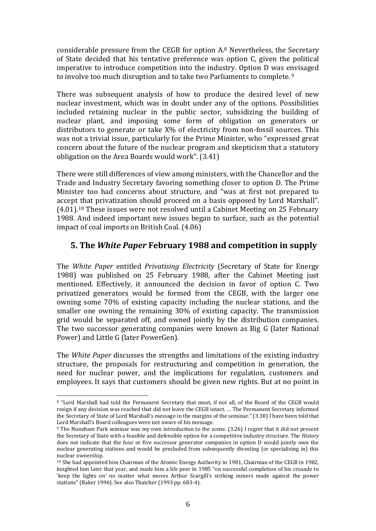considerable pressure from the CEGB for option A.<sup>8</sup> Nevertheless, the Secretary of State decided that his tentative preference was option C, given the political imperative to introduce competition into the industry. Option D was envisaged to involve too much disruption and to take two Parliaments to complete. <sup>9</sup>

There was subsequent analysis of how to produce the desired level of new nuclear investment, which was in doubt under any of the options. Possibilities included retaining nuclear in the public sector, subsidizing the building of nuclear plant, and imposing some form of obligation on generators or distributors to generate or take  $X\%$  of electricity from non-fossil sources. This was not a trivial issue, particularly for the Prime Minister, who "expressed great concern about the future of the nuclear program and skepticism that a statutory obligation on the Area Boards would work". (3.41)

There were still differences of view among ministers, with the Chancellor and the Trade and Industry Secretary favoring something closer to option D. The Prime Minister too had concerns about structure, and "was at first not prepared to accept that privatization should proceed on a basis opposed by Lord Marshall". (4.01).<sup>10</sup> These issues were not resolved until a Cabinet Meeting on 25 February 1988. And indeed important new issues began to surface, such as the potential impact of coal imports on British Coal. (4.06)

## **5. The** *White Paper* **February 1988 and competition in supply**

The *White Paper* entitled *Privatising Electricity* (Secretary of State for Energy 1988) was published on 25 February 1988, after the Cabinet Meeting just mentioned. Effectively, it announced the decision in favor of option C. Two privatized generators would be formed from the CEGB, with the larger one owning some 70% of existing capacity including the nuclear stations, and the smaller one owning the remaining 30% of existing capacity. The transmission grid would be separated off, and owned jointly by the distribution companies. The two successor generating companies were known as Big G (later National Power) and Little G (later PowerGen).

The *White Paper* discusses the strengths and limitations of the existing industry structure, the proposals for restructuring and competition in generation, the need for nuclear power, and the implications for regulation, customers and employees. It says that customers should be given new rights. But at no point in

1

<sup>8</sup> "Lord Marshall had told the Permanent Secretary that most, if not all, of the Board of the CEGB would resign if any decision was reached that did not leave the CEGB intact. … The Permanent Secretary informed the Secretary of State of Lord Marshall's message in the margins of the seminar." (3.30) I have been told that Lord Marshall's Board colleagues were not aware of his message.

<sup>9</sup> The Nuneham Park seminar was my own introduction to the scene. (3.26) I regret that it did not present the Secretary of State with a feasible and defensible option for a competitive industry structure. The *History* does not indicate that the four or five successor generator companies in option D would jointly own the nuclear generating stations and would be precluded from subsequently divesting (or specialising in) this nuclear ownership.

<sup>10</sup> She had appointed him Chairman of the Atomic Energy Authority in 1981, Chairman of the CEGB in 1982, knighted him later that year, and made him a life peer in 1985 "on successful completion of his crusade to 'keep the lights on' no matter what moves Arthur Scargill's striking miners made against the power stations" (Baker 1996). See also Thatcher (1993 pp. 683-4).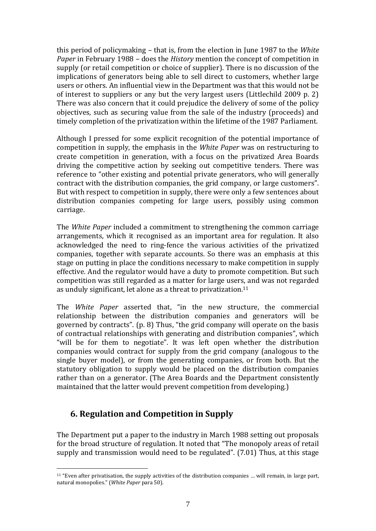this period of policymaking – that is, from the election in June 1987 to the *White Paper* in February 1988 – does the *History* mention the concept of competition in supply (or retail competition or choice of supplier). There is no discussion of the implications of generators being able to sell direct to customers, whether large users or others. An influential view in the Department was that this would not be of interest to suppliers or any but the very largest users (Littlechild 2009 p. 2) There was also concern that it could prejudice the delivery of some of the policy objectives, such as securing value from the sale of the industry (proceeds) and timely completion of the privatization within the lifetime of the 1987 Parliament.

Although I pressed for some explicit recognition of the potential importance of competition in supply, the emphasis in the *White Paper* was on restructuring to create competition in generation, with a focus on the privatized Area Boards driving the competitive action by seeking out competitive tenders. There was reference to "other existing and potential private generators, who will generally contract with the distribution companies, the grid company, or large customers". But with respect to competition in supply, there were only a few sentences about distribution companies competing for large users, possibly using common carriage.

The *White Paper* included a commitment to strengthening the common carriage arrangements, which it recognised as an important area for regulation. It also acknowledged the need to ring-fence the various activities of the privatized companies, together with separate accounts. So there was an emphasis at this stage on putting in place the conditions necessary to make competition in supply effective. And the regulator would have a duty to promote competition. But such competition was still regarded as a matter for large users, and was not regarded as unduly significant, let alone as a threat to privatization.<sup>11</sup>

The *White Paper* asserted that, "in the new structure, the commercial relationship between the distribution companies and generators will be governed by contracts". (p. 8) Thus, "the grid company will operate on the basis of contractual relationships with generating and distribution companies", which "will be for them to negotiate". It was left open whether the distribution companies would contract for supply from the grid company (analogous to the single buyer model), or from the generating companies, or from both. But the statutory obligation to supply would be placed on the distribution companies rather than on a generator. (The Area Boards and the Department consistently maintained that the latter would prevent competition from developing.)

## **6. Regulation and Competition in Supply**

<u>.</u>

The Department put a paper to the industry in March 1988 setting out proposals for the broad structure of regulation. It noted that "The monopoly areas of retail supply and transmission would need to be regulated". (7.01) Thus, at this stage

<sup>11</sup> "Even after privatisation, the supply activities of the distribution companies … will remain, in large part, natural monopolies." (*White Paper* para 50).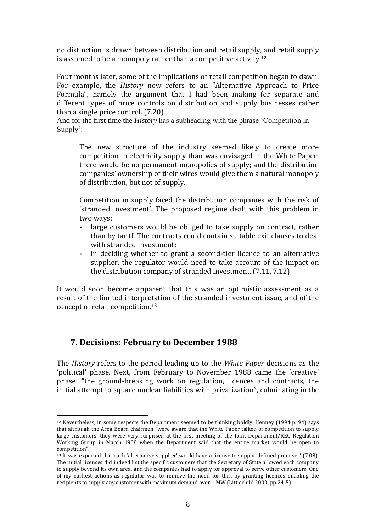no distinction is drawn between distribution and retail supply, and retail supply is assumed to be a monopoly rather than a competitive activity.<sup>12</sup>

Four months later, some of the implications of retail competition began to dawn. For example, the *History* now refers to an "Alternative Approach to Price Formula", namely the argument that I had been making for separate and different types of price controls on distribution and supply businesses rather than a single price control. (7.20)

And for the first time the *History* has a subheading with the phrase 'Competition in Supply':

The new structure of the industry seemed likely to create more competition in electricity supply than was envisaged in the White Paper: there would be no permanent monopolies of supply; and the distribution companies' ownership of their wires would give them a natural monopoly of distribution, but not of supply.

Competition in supply faced the distribution companies with the risk of 'stranded investment'. The proposed regime dealt with this problem in two ways:

- large customers would be obliged to take supply on contract, rather than by tariff. The contracts could contain suitable exit clauses to deal with stranded investment;
- in deciding whether to grant a second-tier licence to an alternative supplier, the regulator would need to take account of the impact on the distribution company of stranded investment. (7.11, 7.12)

It would soon become apparent that this was an optimistic assessment as a result of the limited interpretation of the stranded investment issue, and of the concept of retail competition.<sup>13</sup>

## **7. Decisions: February to December 1988**

<u>.</u>

The *History* refers to the period leading up to the *White Paper* decisions as the 'political' phase. Next, from February to November 1988 came the 'creative' phase: "the ground-breaking work on regulation, licences and contracts, the initial attempt to square nuclear liabilities with privatization", culminating in the

<sup>12</sup> Nevertheless, in some respects the Department seemed to be thinking boldly. Henney (1994 p. 94) says that although the Area Board chairmen "were aware that the White Paper talked of competition to supply large customers, they were very surprised at the first meeting of the Joint Department/REC Regulation Working Group in March 1988 when the Department said that the entire market would be open to competition".

<sup>13</sup> It was expected that each 'alternative supplier' would have a license to supply 'defined premises' (7.08). The initial licenses did indeed list the specific customers that the Secretary of State allowed each company to supply beyond its own area, and the companies had to apply for approval to serve other customers. One of my earliest actions as regulator was to remove the need for this, by granting licences enabling the recipients to supply any customer with maximum demand over 1 MW (Littlechild 2000, pp 24-5).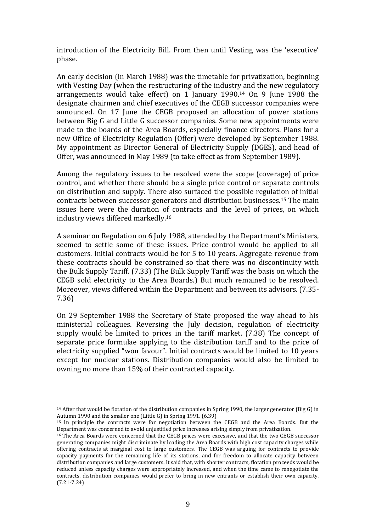introduction of the Electricity Bill. From then until Vesting was the 'executive' phase.

An early decision (in March 1988) was the timetable for privatization, beginning with Vesting Day (when the restructuring of the industry and the new regulatory arrangements would take effect) on 1 January 1990.<sup>14</sup> On 9 June 1988 the designate chairmen and chief executives of the CEGB successor companies were announced. On 17 June the CEGB proposed an allocation of power stations between Big G and Little G successor companies. Some new appointments were made to the boards of the Area Boards, especially finance directors. Plans for a new Office of Electricity Regulation (Offer) were developed by September 1988. My appointment as Director General of Electricity Supply (DGES), and head of Offer, was announced in May 1989 (to take effect as from September 1989).

Among the regulatory issues to be resolved were the scope (coverage) of price control, and whether there should be a single price control or separate controls on distribution and supply. There also surfaced the possible regulation of initial contracts between successor generators and distribution businesses.<sup>15</sup> The main issues here were the duration of contracts and the level of prices, on which industry views differed markedly.<sup>16</sup>

A seminar on Regulation on 6 July 1988, attended by the Department's Ministers, seemed to settle some of these issues. Price control would be applied to all customers. Initial contracts would be for 5 to 10 years. Aggregate revenue from these contracts should be constrained so that there was no discontinuity with the Bulk Supply Tariff. (7.33) (The Bulk Supply Tariff was the basis on which the CEGB sold electricity to the Area Boards.) But much remained to be resolved. Moreover, views differed within the Department and between its advisors. (7.35- 7.36)

On 29 September 1988 the Secretary of State proposed the way ahead to his ministerial colleagues. Reversing the July decision, regulation of electricity supply would be limited to prices in the tariff market. (7.38) The concept of separate price formulae applying to the distribution tariff and to the price of electricity supplied "won favour". Initial contracts would be limited to 10 years except for nuclear stations. Distribution companies would also be limited to owning no more than 15% of their contracted capacity.

1

<sup>14</sup> After that would be flotation of the distribution companies in Spring 1990, the larger generator (Big G) in Autumn 1990 and the smaller one (Little G) in Spring 1991. (6.39)

<sup>15</sup> In principle the contracts were for negotiation between the CEGB and the Area Boards. But the Department was concerned to avoid unjustified price increases arising simply from privatization.

<sup>16</sup> The Area Boards were concerned that the CEGB prices were excessive, and that the two CEGB successor generating companies might discriminate by loading the Area Boards with high cost capacity charges while offering contracts at marginal cost to large customers. The CEGB was arguing for contracts to provide capacity payments for the remaining life of its stations, and for freedom to allocate capacity between distribution companies and large customers. It said that, with shorter contracts, flotation proceeds would be reduced unless capacity charges were appropriately increased, and when the time came to renegotiate the contracts, distribution companies would prefer to bring in new entrants or establish their own capacity. (7.21-7.24)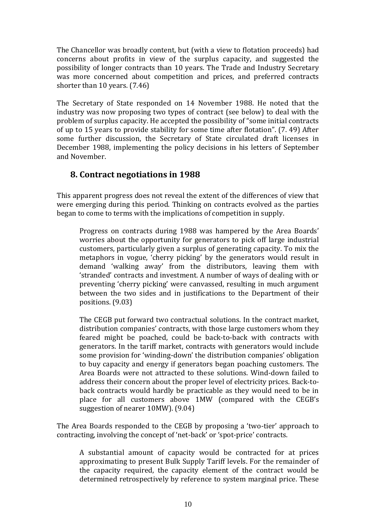The Chancellor was broadly content, but (with a view to flotation proceeds) had concerns about profits in view of the surplus capacity, and suggested the possibility of longer contracts than 10 years. The Trade and Industry Secretary was more concerned about competition and prices, and preferred contracts shorter than 10 years. (7.46)

The Secretary of State responded on 14 November 1988. He noted that the industry was now proposing two types of contract (see below) to deal with the problem of surplus capacity. He accepted the possibility of "some initial contracts of up to 15 years to provide stability for some time after flotation". (7. 49) After some further discussion, the Secretary of State circulated draft licenses in December 1988, implementing the policy decisions in his letters of September and November.

## **8. Contract negotiations in 1988**

This apparent progress does not reveal the extent of the differences of view that were emerging during this period. Thinking on contracts evolved as the parties began to come to terms with the implications of competition in supply.

Progress on contracts during 1988 was hampered by the Area Boards' worries about the opportunity for generators to pick off large industrial customers, particularly given a surplus of generating capacity. To mix the metaphors in vogue, 'cherry picking' by the generators would result in demand 'walking away' from the distributors, leaving them with 'stranded' contracts and investment. A number of ways of dealing with or preventing 'cherry picking' were canvassed, resulting in much argument between the two sides and in justifications to the Department of their positions. (9.03)

The CEGB put forward two contractual solutions. In the contract market, distribution companies' contracts, with those large customers whom they feared might be poached, could be back-to-back with contracts with generators. In the tariff market, contracts with generators would include some provision for 'winding-down' the distribution companies' obligation to buy capacity and energy if generators began poaching customers. The Area Boards were not attracted to these solutions. Wind-down failed to address their concern about the proper level of electricity prices. Back-toback contracts would hardly be practicable as they would need to be in place for all customers above 1MW (compared with the CEGB's suggestion of nearer 10MW). (9.04)

The Area Boards responded to the CEGB by proposing a 'two-tier' approach to contracting, involving the concept of 'net-back' or 'spot-price' contracts.

A substantial amount of capacity would be contracted for at prices approximating to present Bulk Supply Tariff levels. For the remainder of the capacity required, the capacity element of the contract would be determined retrospectively by reference to system marginal price. These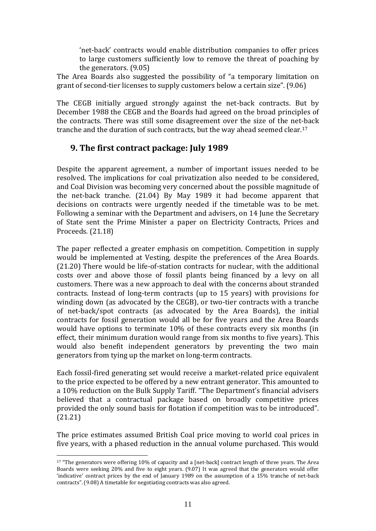'net-back' contracts would enable distribution companies to offer prices to large customers sufficiently low to remove the threat of poaching by the generators. (9.05)

The Area Boards also suggested the possibility of "a temporary limitation on grant of second-tier licenses to supply customers below a certain size". (9.06)

The CEGB initially argued strongly against the net-back contracts. But by December 1988 the CEGB and the Boards had agreed on the broad principles of the contracts. There was still some disagreement over the size of the net-back tranche and the duration of such contracts, but the way ahead seemed clear.<sup>17</sup>

## **9. The first contract package: July 1989**

Despite the apparent agreement, a number of important issues needed to be resolved. The implications for coal privatization also needed to be considered, and Coal Division was becoming very concerned about the possible magnitude of the net-back tranche. (21.04) By May 1989 it had become apparent that decisions on contracts were urgently needed if the timetable was to be met. Following a seminar with the Department and advisers, on 14 June the Secretary of State sent the Prime Minister a paper on Electricity Contracts, Prices and Proceeds. (21.18)

The paper reflected a greater emphasis on competition. Competition in supply would be implemented at Vesting, despite the preferences of the Area Boards. (21.20) There would be life-of-station contracts for nuclear, with the additional costs over and above those of fossil plants being financed by a levy on all customers. There was a new approach to deal with the concerns about stranded contracts. Instead of long-term contracts (up to 15 years) with provisions for winding down (as advocated by the CEGB), or two-tier contracts with a tranche of net-back/spot contracts (as advocated by the Area Boards), the initial contracts for fossil generation would all be for five years and the Area Boards would have options to terminate 10% of these contracts every six months (in effect, their minimum duration would range from six months to five years). This would also benefit independent generators by preventing the two main generators from tying up the market on long-term contracts.

Each fossil-fired generating set would receive a market-related price equivalent to the price expected to be offered by a new entrant generator. This amounted to a 10% reduction on the Bulk Supply Tariff. "The Department's financial advisers believed that a contractual package based on broadly competitive prices provided the only sound basis for flotation if competition was to be introduced". (21.21)

The price estimates assumed British Coal price moving to world coal prices in five years, with a phased reduction in the annual volume purchased. This would

1

<sup>&</sup>lt;sup>17</sup> "The generators were offering 10% of capacity and a [net-back] contract length of three years. The Area Boards were seeking 20% and five to eight years. (9.07) It was agreed that the generators would offer 'indicative' contract prices by the end of January 1989 on the assumption of a 15% tranche of net-back contracts". (9.08) A timetable for negotiating contracts was also agreed.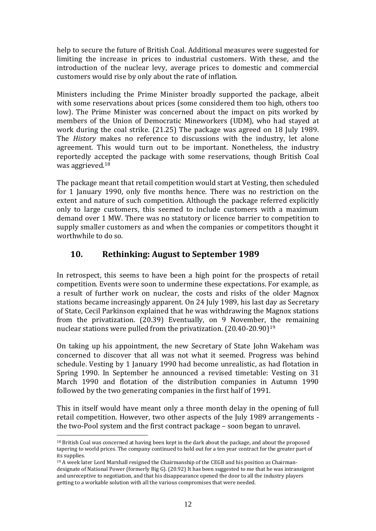help to secure the future of British Coal. Additional measures were suggested for limiting the increase in prices to industrial customers. With these, and the introduction of the nuclear levy, average prices to domestic and commercial customers would rise by only about the rate of inflation.

Ministers including the Prime Minister broadly supported the package, albeit with some reservations about prices (some considered them too high, others too low). The Prime Minister was concerned about the impact on pits worked by members of the Union of Democratic Mineworkers (UDM), who had stayed at work during the coal strike. (21.25) The package was agreed on 18 July 1989. The *History* makes no reference to discussions with the industry, let alone agreement. This would turn out to be important. Nonetheless, the industry reportedly accepted the package with some reservations, though British Coal was aggrieved.<sup>18</sup>

The package meant that retail competition would start at Vesting, then scheduled for 1 January 1990, only five months hence. There was no restriction on the extent and nature of such competition. Although the package referred explicitly only to large customers, this seemed to include customers with a maximum demand over 1 MW. There was no statutory or licence barrier to competition to supply smaller customers as and when the companies or competitors thought it worthwhile to do so.

## **10. Rethinking: August to September 1989**

In retrospect, this seems to have been a high point for the prospects of retail competition. Events were soon to undermine these expectations. For example, as a result of further work on nuclear, the costs and risks of the older Magnox stations became increasingly apparent. On 24 July 1989, his last day as Secretary of State, Cecil Parkinson explained that he was withdrawing the Magnox stations from the privatization. (20.39) Eventually, on 9 November, the remaining nuclear stations were pulled from the privatization. (20.40-20.90)<sup>19</sup>

On taking up his appointment, the new Secretary of State John Wakeham was concerned to discover that all was not what it seemed. Progress was behind schedule. Vesting by 1 January 1990 had become unrealistic, as had flotation in Spring 1990. In September he announced a revised timetable: Vesting on 31 March 1990 and flotation of the distribution companies in Autumn 1990 followed by the two generating companies in the first half of 1991.

This in itself would have meant only a three month delay in the opening of full retail competition. However, two other aspects of the July 1989 arrangements the two-Pool system and the first contract package – soon began to unravel.

<u>.</u>

<sup>18</sup> British Coal was concerned at having been kept in the dark about the package, and about the proposed tapering to world prices. The company continued to hold out for a ten year contract for the greater part of its supplies.

<sup>19</sup> A week later Lord Marshall resigned the Chairmanship of the CEGB and his position as Chairmandesignate of National Power (formerly Big G). (20.92) It has been suggested to me that he was intransigent and unreceptive to negotiation, and that his disappearance opened the door to all the industry players getting to a workable solution with all the various compromises that were needed.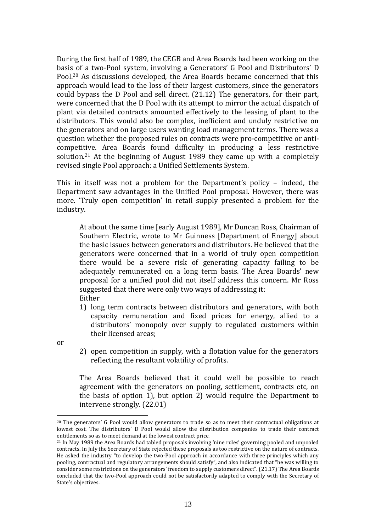During the first half of 1989, the CEGB and Area Boards had been working on the basis of a two-Pool system, involving a Generators' G Pool and Distributors' D Pool.<sup>20</sup> As discussions developed, the Area Boards became concerned that this approach would lead to the loss of their largest customers, since the generators could bypass the D Pool and sell direct. (21.12) The generators, for their part, were concerned that the D Pool with its attempt to mirror the actual dispatch of plant via detailed contracts amounted effectively to the leasing of plant to the distributors. This would also be complex, inefficient and unduly restrictive on the generators and on large users wanting load management terms. There was a question whether the proposed rules on contracts were pro-competitive or anticompetitive. Area Boards found difficulty in producing a less restrictive solution.<sup>21</sup> At the beginning of August 1989 they came up with a completely revised single Pool approach: a Unified Settlements System.

This in itself was not a problem for the Department's policy – indeed, the Department saw advantages in the Unified Pool proposal. However, there was more. 'Truly open competition' in retail supply presented a problem for the industry.

At about the same time [early August 1989], Mr Duncan Ross, Chairman of Southern Electric, wrote to Mr Guinness [Department of Energy] about the basic issues between generators and distributors. He believed that the generators were concerned that in a world of truly open competition there would be a severe risk of generating capacity failing to be adequately remunerated on a long term basis. The Area Boards' new proposal for a unified pool did not itself address this concern. Mr Ross suggested that there were only two ways of addressing it: Either

1) long term contracts between distributors and generators, with both capacity remuneration and fixed prices for energy, allied to a distributors' monopoly over supply to regulated customers within their licensed areas;

or

<u>.</u>

2) open competition in supply, with a flotation value for the generators reflecting the resultant volatility of profits.

The Area Boards believed that it could well be possible to reach agreement with the generators on pooling, settlement, contracts etc, on the basis of option 1), but option 2) would require the Department to intervene strongly. (22.01)

<sup>20</sup> The generators' G Pool would allow generators to trade so as to meet their contractual obligations at lowest cost. The distributors' D Pool would allow the distribution companies to trade their contract entitlements so as to meet demand at the lowest contract price.

<sup>21</sup> In May 1989 the Area Boards had tabled proposals involving 'nine rules' governing pooled and unpooled contracts. In July the Secretary of State rejected these proposals as too restrictive on the nature of contracts. He asked the industry "to develop the two-Pool approach in accordance with three principles which any pooling, contractual and regulatory arrangements should satisfy", and also indicated that "he was willing to consider some restrictions on the generators' freedom to supply customers direct". (21.17) The Area Boards concluded that the two-Pool approach could not be satisfactorily adapted to comply with the Secretary of State's objectives.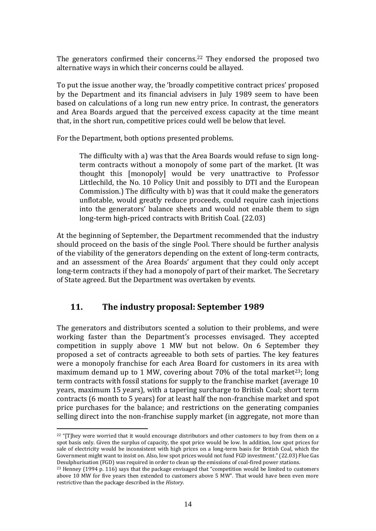The generators confirmed their concerns.<sup>22</sup> They endorsed the proposed two alternative ways in which their concerns could be allayed.

To put the issue another way, the 'broadly competitive contract prices' proposed by the Department and its financial advisers in July 1989 seem to have been based on calculations of a long run new entry price. In contrast, the generators and Area Boards argued that the perceived excess capacity at the time meant that, in the short run, competitive prices could well be below that level.

For the Department, both options presented problems.

The difficulty with a) was that the Area Boards would refuse to sign longterm contracts without a monopoly of some part of the market. (It was thought this [monopoly] would be very unattractive to Professor Littlechild, the No. 10 Policy Unit and possibly to DTI and the European Commission.) The difficulty with b) was that it could make the generators unflotable, would greatly reduce proceeds, could require cash injections into the generators' balance sheets and would not enable them to sign long-term high-priced contracts with British Coal. (22.03)

At the beginning of September, the Department recommended that the industry should proceed on the basis of the single Pool. There should be further analysis of the viability of the generators depending on the extent of long-term contracts, and an assessment of the Area Boards' argument that they could only accept long-term contracts if they had a monopoly of part of their market. The Secretary of State agreed. But the Department was overtaken by events.

## **11. The industry proposal: September 1989**

<u>.</u>

The generators and distributors scented a solution to their problems, and were working faster than the Department's processes envisaged. They accepted competition in supply above 1 MW but not below. On 6 September they proposed a set of contracts agreeable to both sets of parties. The key features were a monopoly franchise for each Area Board for customers in its area with maximum demand up to 1 MW, covering about  $70\%$  of the total market<sup>23</sup>; long term contracts with fossil stations for supply to the franchise market (average 10 years, maximum 15 years), with a tapering surcharge to British Coal; short term contracts (6 month to 5 years) for at least half the non-franchise market and spot price purchases for the balance; and restrictions on the generating companies selling direct into the non-franchise supply market (in aggregate, not more than

<sup>&</sup>lt;sup>22</sup> "[T]hey were worried that it would encourage distributors and other customers to buy from them on a spot basis only. Given the surplus of capacity, the spot price would be low. In addition, low spot prices for sale of electricity would be inconsistent with high prices on a long-term basis for British Coal, which the Government might want to insist on. Also, low spot prices would not fund FGD investment." (22.03) Flue Gas Desulphurisation (FGD) was required in order to clean up the emissions of coal-fired power stations.

<sup>23</sup> Henney (1994 p. 116) says that the package envisaged that "competition would be limited to customers above 10 MW for five years then extended to customers above 5 MW". That would have been even more restrictive than the package described in the *History*.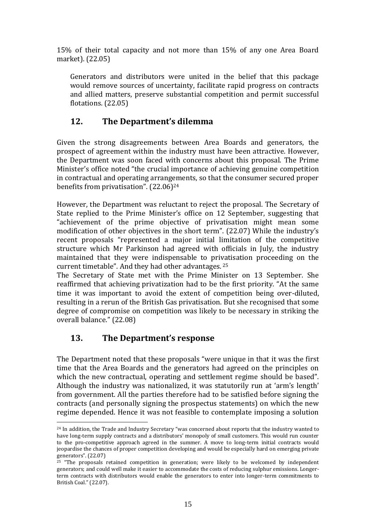15% of their total capacity and not more than 15% of any one Area Board market). (22.05)

Generators and distributors were united in the belief that this package would remove sources of uncertainty, facilitate rapid progress on contracts and allied matters, preserve substantial competition and permit successful flotations. (22.05)

# **12. The Department's dilemma**

Given the strong disagreements between Area Boards and generators, the prospect of agreement within the industry must have been attractive. However, the Department was soon faced with concerns about this proposal. The Prime Minister's office noted "the crucial importance of achieving genuine competition in contractual and operating arrangements, so that the consumer secured proper benefits from privatisation". (22.06)<sup>24</sup>

However, the Department was reluctant to reject the proposal. The Secretary of State replied to the Prime Minister's office on 12 September, suggesting that "achievement of the prime objective of privatisation might mean some modification of other objectives in the short term". (22.07) While the industry's recent proposals "represented a major initial limitation of the competitive structure which Mr Parkinson had agreed with officials in July, the industry maintained that they were indispensable to privatisation proceeding on the current timetable". And they had other advantages. <sup>25</sup>

The Secretary of State met with the Prime Minister on 13 September. She reaffirmed that achieving privatization had to be the first priority. "At the same time it was important to avoid the extent of competition being over-diluted, resulting in a rerun of the British Gas privatisation. But she recognised that some degree of compromise on competition was likely to be necessary in striking the overall balance." (22.08)

# **13. The Department's response**

1

The Department noted that these proposals "were unique in that it was the first time that the Area Boards and the generators had agreed on the principles on which the new contractual, operating and settlement regime should be based". Although the industry was nationalized, it was statutorily run at 'arm's length' from government. All the parties therefore had to be satisfied before signing the contracts (and personally signing the prospectus statements) on which the new regime depended. Hence it was not feasible to contemplate imposing a solution

<sup>24</sup> In addition, the Trade and Industry Secretary "was concerned about reports that the industry wanted to have long-term supply contracts and a distributors' monopoly of small customers. This would run counter to the pro-competitive approach agreed in the summer. A move to long-term initial contracts would jeopardise the chances of proper competition developing and would be especially hard on emerging private generators". (22.07)

<sup>&</sup>lt;sup>25</sup> "The proposals retained competition in generation; were likely to be welcomed by independent generators; and could well make it easier to accommodate the costs of reducing sulphur emissions. Longerterm contracts with distributors would enable the generators to enter into longer-term commitments to British Coal." (22.07).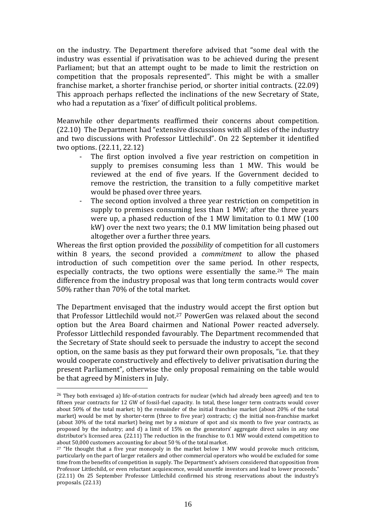on the industry. The Department therefore advised that "some deal with the industry was essential if privatisation was to be achieved during the present Parliament; but that an attempt ought to be made to limit the restriction on competition that the proposals represented". This might be with a smaller franchise market, a shorter franchise period, or shorter initial contracts. (22.09) This approach perhaps reflected the inclinations of the new Secretary of State, who had a reputation as a 'fixer' of difficult political problems.

Meanwhile other departments reaffirmed their concerns about competition. (22.10) The Department had "extensive discussions with all sides of the industry and two discussions with Professor Littlechild". On 22 September it identified two options. (22.11, 22.12)

- The first option involved a five year restriction on competition in supply to premises consuming less than 1 MW. This would be reviewed at the end of five years. If the Government decided to remove the restriction, the transition to a fully competitive market would be phased over three years.
- The second option involved a three year restriction on competition in supply to premises consuming less than 1 MW; after the three years were up, a phased reduction of the 1 MW limitation to 0.1 MW (100 kW) over the next two years; the 0.1 MW limitation being phased out altogether over a further three years.

Whereas the first option provided the *possibility* of competition for all customers within 8 years, the second provided a *commitment* to allow the phased introduction of such competition over the same period. In other respects, especially contracts, the two options were essentially the same.<sup>26</sup> The main difference from the industry proposal was that long term contracts would cover 50% rather than 70% of the total market.

The Department envisaged that the industry would accept the first option but that Professor Littlechild would not.<sup>27</sup> PowerGen was relaxed about the second option but the Area Board chairmen and National Power reacted adversely. Professor Littlechild responded favourably. The Department recommended that the Secretary of State should seek to persuade the industry to accept the second option, on the same basis as they put forward their own proposals, "i.e. that they would cooperate constructively and effectively to deliver privatisation during the present Parliament", otherwise the only proposal remaining on the table would be that agreed by Ministers in July.

<u>.</u>

 $26$  They both envisaged a) life-of-station contracts for nuclear (which had already been agreed) and ten to fifteen year contracts for 12 GW of fossil-fuel capacity. In total, these longer term contracts would cover about 50% of the total market; b) the remainder of the initial franchise market (about 20% of the total market) would be met by shorter-term (three to five year) contracts; c) the initial non-franchise market (about 30% of the total market) being met by a mixture of spot and six month to five year contracts, as proposed by the industry; and d) a limit of 15% on the generators' aggregate direct sales in any one distributor's licensed area. (22.11) The reduction in the franchise to 0.1 MW would extend competition to about 50,000 customers accounting for about 50 % of the total market.

 $27$  "He thought that a five year monopoly in the market below 1 MW would provoke much criticism, particularly on the part of larger retailers and other commercial operators who would be excluded for some time from the benefits of competition in supply. The Department's advisers considered that opposition from Professor Littlechild, or even reluctant acquiescence, would unsettle investors and lead to lower proceeds." (22.11) On 25 September Professor Littlechild confirmed his strong reservations about the industry's proposals. (22.13)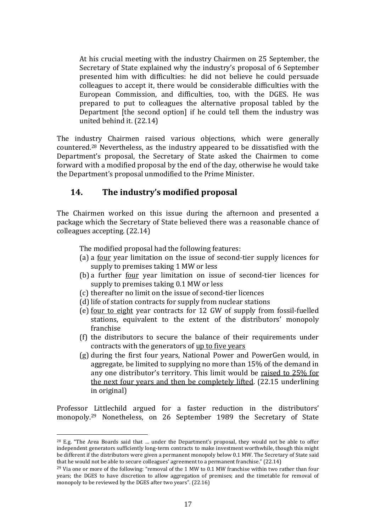At his crucial meeting with the industry Chairmen on 25 September, the Secretary of State explained why the industry's proposal of 6 September presented him with difficulties: he did not believe he could persuade colleagues to accept it, there would be considerable difficulties with the European Commission, and difficulties, too, with the DGES. He was prepared to put to colleagues the alternative proposal tabled by the Department [the second option] if he could tell them the industry was united behind it. (22.14)

The industry Chairmen raised various objections, which were generally countered.<sup>28</sup> Nevertheless, as the industry appeared to be dissatisfied with the Department's proposal, the Secretary of State asked the Chairmen to come forward with a modified proposal by the end of the day, otherwise he would take the Department's proposal unmodified to the Prime Minister.

## **14. The industry's modified proposal**

The Chairmen worked on this issue during the afternoon and presented a package which the Secretary of State believed there was a reasonable chance of colleagues accepting. (22.14)

The modified proposal had the following features:

- (a) a four year limitation on the issue of second-tier supply licences for supply to premises taking 1 MW or less
- (b) a further <u>four</u> year limitation on issue of second-tier licences for supply to premises taking 0.1 MW or less
- (c) thereafter no limit on the issue of second-tier licences
- (d) life of station contracts for supply from nuclear stations
- (e) four to eight year contracts for 12 GW of supply from fossil-fuelled stations, equivalent to the extent of the distributors' monopoly franchise
- (f) the distributors to secure the balance of their requirements under contracts with the generators of up to five years
- (g) during the first four years, National Power and PowerGen would, in aggregate, be limited to supplying no more than 15% of the demand in any one distributor's territory. This limit would be raised to 25% for the next four years and then be completely lifted. (22.15 underlining in original)

Professor Littlechild argued for a faster reduction in the distributors' monopoly.<sup>29</sup> Nonetheless, on 26 September 1989 the Secretary of State

1

<sup>&</sup>lt;sup>28</sup> E.g. "The Area Boards said that ... under the Department's proposal, they would not be able to offer independent generators sufficiently long-term contracts to make investment worthwhile, though this might be different if the distributors were given a permanent monopoly below 0.1 MW. The Secretary of State said that he would not be able to secure colleagues' agreement to a permanent franchise." (22.14)

<sup>&</sup>lt;sup>29</sup> Via one or more of the following: "removal of the 1 MW to 0.1 MW franchise within two rather than four years; the DGES to have discretion to allow aggregation of premises; and the timetable for removal of monopoly to be reviewed by the DGES after two years". (22.16)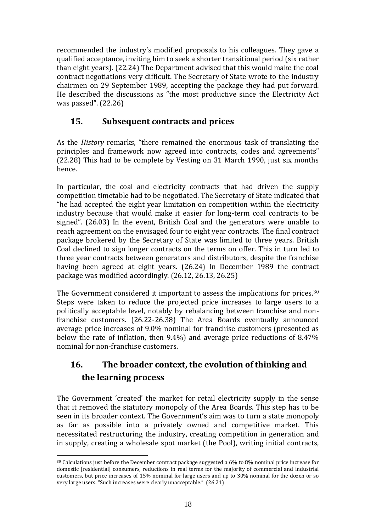recommended the industry's modified proposals to his colleagues. They gave a qualified acceptance, inviting him to seek a shorter transitional period (six rather than eight years). (22.24) The Department advised that this would make the coal contract negotiations very difficult. The Secretary of State wrote to the industry chairmen on 29 September 1989, accepting the package they had put forward. He described the discussions as "the most productive since the Electricity Act was passed". (22.26)

# **15. Subsequent contracts and prices**

As the *History* remarks, "there remained the enormous task of translating the principles and framework now agreed into contracts, codes and agreements" (22.28) This had to be complete by Vesting on 31 March 1990, just six months hence.

In particular, the coal and electricity contracts that had driven the supply competition timetable had to be negotiated. The Secretary of State indicated that "he had accepted the eight year limitation on competition within the electricity industry because that would make it easier for long-term coal contracts to be signed". (26.03) In the event, British Coal and the generators were unable to reach agreement on the envisaged four to eight year contracts. The final contract package brokered by the Secretary of State was limited to three years. British Coal declined to sign longer contracts on the terms on offer. This in turn led to three year contracts between generators and distributors, despite the franchise having been agreed at eight years. (26.24) In December 1989 the contract package was modified accordingly. (26.12, 26.13, 26.25)

The Government considered it important to assess the implications for prices.<sup>30</sup> Steps were taken to reduce the projected price increases to large users to a politically acceptable level, notably by rebalancing between franchise and nonfranchise customers. (26.22-26.38) The Area Boards eventually announced average price increases of 9.0% nominal for franchise customers (presented as below the rate of inflation, then 9.4%) and average price reductions of 8.47% nominal for non-franchise customers.

# **16. The broader context, the evolution of thinking and the learning process**

The Government 'created' the market for retail electricity supply in the sense that it removed the statutory monopoly of the Area Boards. This step has to be seen in its broader context. The Government's aim was to turn a state monopoly as far as possible into a privately owned and competitive market. This necessitated restructuring the industry, creating competition in generation and in supply, creating a wholesale spot market (the Pool), writing initial contracts,

<sup>1</sup> <sup>30</sup> Calculations just before the December contract package suggested a 6% to 8% nominal price increase for domestic [residential] consumers, reductions in real terms for the majority of commercial and industrial customers, but price increases of 15% nominal for large users and up to 30% nominal for the dozen or so very large users. "Such increases were clearly unacceptable." (26.21)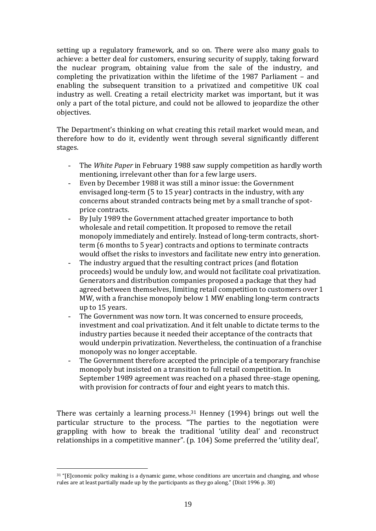setting up a regulatory framework, and so on. There were also many goals to achieve: a better deal for customers, ensuring security of supply, taking forward the nuclear program, obtaining value from the sale of the industry, and completing the privatization within the lifetime of the 1987 Parliament – and enabling the subsequent transition to a privatized and competitive UK coal industry as well. Creating a retail electricity market was important, but it was only a part of the total picture, and could not be allowed to jeopardize the other objectives.

The Department's thinking on what creating this retail market would mean, and therefore how to do it, evidently went through several significantly different stages.

- The *White Paper* in February 1988 saw supply competition as hardly worth mentioning, irrelevant other than for a few large users.
- Even by December 1988 it was still a minor issue: the Government envisaged long-term (5 to 15 year) contracts in the industry, with any concerns about stranded contracts being met by a small tranche of spotprice contracts.
- By July 1989 the Government attached greater importance to both wholesale and retail competition. It proposed to remove the retail monopoly immediately and entirely. Instead of long-term contracts, shortterm (6 months to 5 year) contracts and options to terminate contracts would offset the risks to investors and facilitate new entry into generation.
- The industry argued that the resulting contract prices (and flotation proceeds) would be unduly low, and would not facilitate coal privatization. Generators and distribution companies proposed a package that they had agreed between themselves, limiting retail competition to customers over 1 MW, with a franchise monopoly below 1 MW enabling long-term contracts up to 15 years.
- The Government was now torn. It was concerned to ensure proceeds, investment and coal privatization. And it felt unable to dictate terms to the industry parties because it needed their acceptance of the contracts that would underpin privatization. Nevertheless, the continuation of a franchise monopoly was no longer acceptable.
- The Government therefore accepted the principle of a temporary franchise monopoly but insisted on a transition to full retail competition. In September 1989 agreement was reached on a phased three-stage opening, with provision for contracts of four and eight years to match this.

There was certainly a learning process.<sup>31</sup> Henney (1994) brings out well the particular structure to the process. "The parties to the negotiation were grappling with how to break the traditional 'utility deal' and reconstruct relationships in a competitive manner". (p. 104) Some preferred the 'utility deal',

<u>.</u>

<sup>31</sup> "[E]conomic policy making is a dynamic game, whose conditions are uncertain and changing, and whose rules are at least partially made up by the participants as they go along." (Dixit 1996 p. 30)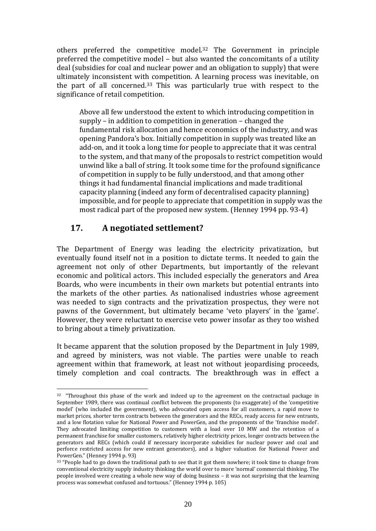others preferred the competitive model.<sup>32</sup> The Government in principle preferred the competitive model – but also wanted the concomitants of a utility deal (subsidies for coal and nuclear power and an obligation to supply) that were ultimately inconsistent with competition. A learning process was inevitable, on the part of all concerned.<sup>33</sup> This was particularly true with respect to the significance of retail competition.

Above all few understood the extent to which introducing competition in supply – in addition to competition in generation – changed the fundamental risk allocation and hence economics of the industry, and was opening Pandora's box. Initially competition in supply was treated like an add-on, and it took a long time for people to appreciate that it was central to the system, and that many of the proposals to restrict competition would unwind like a ball of string. It took some time for the profound significance of competition in supply to be fully understood, and that among other things it had fundamental financial implications and made traditional capacity planning (indeed any form of decentralised capacity planning) impossible, and for people to appreciate that competition in supply was the most radical part of the proposed new system. (Henney 1994 pp. 93-4)

## **17. A negotiated settlement?**

1

The Department of Energy was leading the electricity privatization, but eventually found itself not in a position to dictate terms. It needed to gain the agreement not only of other Departments, but importantly of the relevant economic and political actors. This included especially the generators and Area Boards, who were incumbents in their own markets but potential entrants into the markets of the other parties. As nationalised industries whose agreement was needed to sign contracts and the privatization prospectus, they were not pawns of the Government, but ultimately became 'veto players' in the 'game'. However, they were reluctant to exercise veto power insofar as they too wished to bring about a timely privatization.

It became apparent that the solution proposed by the Department in July 1989, and agreed by ministers, was not viable. The parties were unable to reach agreement within that framework, at least not without jeopardising proceeds, timely completion and coal contracts. The breakthrough was in effect a

<sup>&</sup>lt;sup>32</sup> "Throughout this phase of the work and indeed up to the agreement on the contractual package in September 1989, there was continual conflict between the proponents (to exaggerate) of the 'competitive model' (who included the government), who advocated open access for all customers, a rapid move to market prices, shorter term contracts between the generators and the RECs, ready access for new entrants, and a low flotation value for National Power and PowerGen, and the proponents of the 'franchise model'. They advocated limiting competition to customers with a load over 10 MW and the retention of a permanent franchise for smaller customers, relatively higher electricity prices, longer contracts between the generators and RECs (which could if necessary incorporate subsidies for nuclear power and coal and perforce restricted access for new entrant generators), and a higher valuation for National Power and PowerGen." (Henney 1994 p. 93)

<sup>&</sup>lt;sup>33</sup> "People had to go down the traditional path to see that it got them nowhere; it took time to change from conventional electricity supply industry thinking the world over to more 'normal' commercial thinking. The people involved were creating a whole new way of doing business – it was not surprising that the learning process was somewhat confused and tortuous." (Henney 1994 p. 105)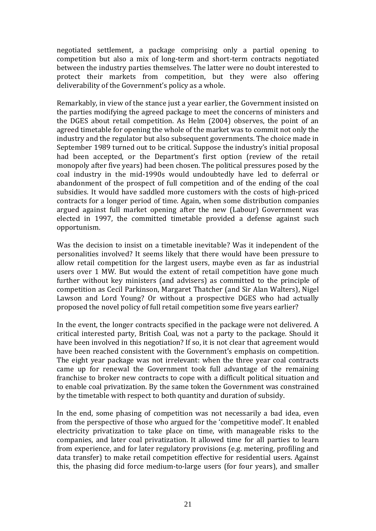negotiated settlement, a package comprising only a partial opening to competition but also a mix of long-term and short-term contracts negotiated between the industry parties themselves. The latter were no doubt interested to protect their markets from competition, but they were also offering deliverability of the Government's policy as a whole.

Remarkably, in view of the stance just a year earlier, the Government insisted on the parties modifying the agreed package to meet the concerns of ministers and the DGES about retail competition. As Helm (2004) observes, the point of an agreed timetable for opening the whole of the market was to commit not only the industry and the regulator but also subsequent governments. The choice made in September 1989 turned out to be critical. Suppose the industry's initial proposal had been accepted, or the Department's first option (review of the retail monopoly after five years) had been chosen. The political pressures posed by the coal industry in the mid-1990s would undoubtedly have led to deferral or abandonment of the prospect of full competition and of the ending of the coal subsidies. It would have saddled more customers with the costs of high-priced contracts for a longer period of time. Again, when some distribution companies argued against full market opening after the new (Labour) Government was elected in 1997, the committed timetable provided a defense against such opportunism.

Was the decision to insist on a timetable inevitable? Was it independent of the personalities involved? It seems likely that there would have been pressure to allow retail competition for the largest users, maybe even as far as industrial users over 1 MW. But would the extent of retail competition have gone much further without key ministers (and advisers) as committed to the principle of competition as Cecil Parkinson, Margaret Thatcher (and Sir Alan Walters), Nigel Lawson and Lord Young? Or without a prospective DGES who had actually proposed the novel policy of full retail competition some five years earlier?

In the event, the longer contracts specified in the package were not delivered. A critical interested party, British Coal, was not a party to the package. Should it have been involved in this negotiation? If so, it is not clear that agreement would have been reached consistent with the Government's emphasis on competition. The eight year package was not irrelevant: when the three year coal contracts came up for renewal the Government took full advantage of the remaining franchise to broker new contracts to cope with a difficult political situation and to enable coal privatization. By the same token the Government was constrained by the timetable with respect to both quantity and duration of subsidy.

In the end, some phasing of competition was not necessarily a bad idea, even from the perspective of those who argued for the 'competitive model'. It enabled electricity privatization to take place on time, with manageable risks to the companies, and later coal privatization. It allowed time for all parties to learn from experience, and for later regulatory provisions (e.g. metering, profiling and data transfer) to make retail competition effective for residential users. Against this, the phasing did force medium-to-large users (for four years), and smaller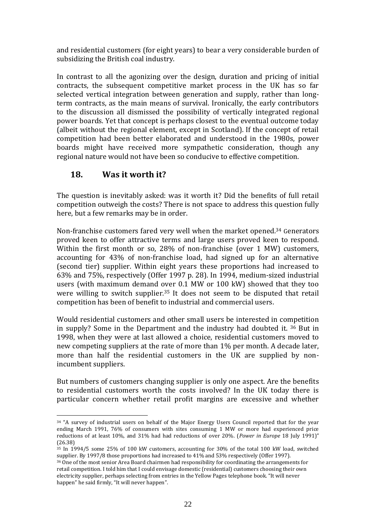and residential customers (for eight years) to bear a very considerable burden of subsidizing the British coal industry.

In contrast to all the agonizing over the design, duration and pricing of initial contracts, the subsequent competitive market process in the UK has so far selected vertical integration between generation and supply, rather than longterm contracts, as the main means of survival. Ironically, the early contributors to the discussion all dismissed the possibility of vertically integrated regional power boards. Yet that concept is perhaps closest to the eventual outcome today (albeit without the regional element, except in Scotland). If the concept of retail competition had been better elaborated and understood in the 1980s, power boards might have received more sympathetic consideration, though any regional nature would not have been so conducive to effective competition.

## **18. Was it worth it?**

<u>.</u>

The question is inevitably asked: was it worth it? Did the benefits of full retail competition outweigh the costs? There is not space to address this question fully here, but a few remarks may be in order.

Non-franchise customers fared very well when the market opened.<sup>34</sup> Generators proved keen to offer attractive terms and large users proved keen to respond. Within the first month or so, 28% of non-franchise (over 1 MW) customers, accounting for 43% of non-franchise load, had signed up for an alternative (second tier) supplier. Within eight years these proportions had increased to 63% and 75%, respectively (Offer 1997 p. 28). In 1994, medium-sized industrial users (with maximum demand over 0.1 MW or 100 kW) showed that they too were willing to switch supplier.<sup>35</sup> It does not seem to be disputed that retail competition has been of benefit to industrial and commercial users.

Would residential customers and other small users be interested in competition in supply? Some in the Department and the industry had doubted it. <sup>36</sup> But in 1998, when they were at last allowed a choice, residential customers moved to new competing suppliers at the rate of more than 1% per month. A decade later, more than half the residential customers in the UK are supplied by nonincumbent suppliers.

But numbers of customers changing supplier is only one aspect. Are the benefits to residential customers worth the costs involved? In the UK today there is particular concern whether retail profit margins are excessive and whether

<sup>34</sup> "A survey of industrial users on behalf of the Major Energy Users Council reported that for the year ending March 1991, 76% of consumers with sites consuming 1 MW or more had experienced price reductions of at least 10%, and 31% had had reductions of over 20%. (*Power in Europe* 18 July 1991)" (26.38)

<sup>35</sup> In 1994/5 some 25% of 100 kW customers, accounting for 30% of the total 100 kW load, switched supplier. By 1997/8 those proportions had increased to 41% and 53% respectively (Offer 1997).

<sup>36</sup> One of the most senior Area Board chairmen had responsibility for coordinating the arrangements for retail competition. I told him that I could envisage domestic (residential) customers choosing their own electricity supplier, perhaps selecting from entries in the Yellow Pages telephone book. "It will never happen" he said firmly, "It will never happen".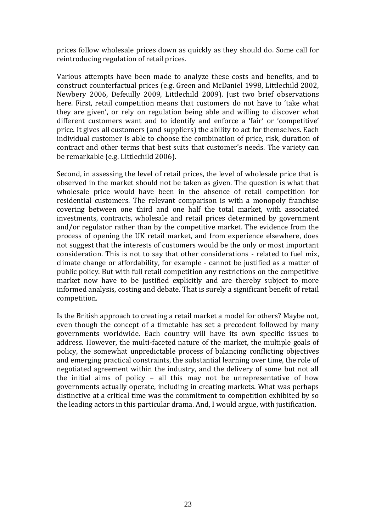prices follow wholesale prices down as quickly as they should do. Some call for reintroducing regulation of retail prices.

Various attempts have been made to analyze these costs and benefits, and to construct counterfactual prices (e.g. Green and McDaniel 1998, Littlechild 2002, Newbery 2006, Defeuilly 2009, Littlechild 2009). Just two brief observations here. First, retail competition means that customers do not have to 'take what they are given', or rely on regulation being able and willing to discover what different customers want and to identify and enforce a 'fair' or 'competitive' price. It gives all customers (and suppliers) the ability to act for themselves. Each individual customer is able to choose the combination of price, risk, duration of contract and other terms that best suits that customer's needs. The variety can be remarkable (e.g. Littlechild 2006).

Second, in assessing the level of retail prices, the level of wholesale price that is observed in the market should not be taken as given. The question is what that wholesale price would have been in the absence of retail competition for residential customers. The relevant comparison is with a monopoly franchise covering between one third and one half the total market, with associated investments, contracts, wholesale and retail prices determined by government and/or regulator rather than by the competitive market. The evidence from the process of opening the UK retail market, and from experience elsewhere, does not suggest that the interests of customers would be the only or most important consideration. This is not to say that other considerations - related to fuel mix, climate change or affordability, for example - cannot be justified as a matter of public policy. But with full retail competition any restrictions on the competitive market now have to be justified explicitly and are thereby subject to more informed analysis, costing and debate. That is surely a significant benefit of retail competition.

Is the British approach to creating a retail market a model for others? Maybe not, even though the concept of a timetable has set a precedent followed by many governments worldwide. Each country will have its own specific issues to address. However, the multi-faceted nature of the market, the multiple goals of policy, the somewhat unpredictable process of balancing conflicting objectives and emerging practical constraints, the substantial learning over time, the role of negotiated agreement within the industry, and the delivery of some but not all the initial aims of policy – all this may not be unrepresentative of how governments actually operate, including in creating markets. What was perhaps distinctive at a critical time was the commitment to competition exhibited by so the leading actors in this particular drama. And, I would argue, with justification.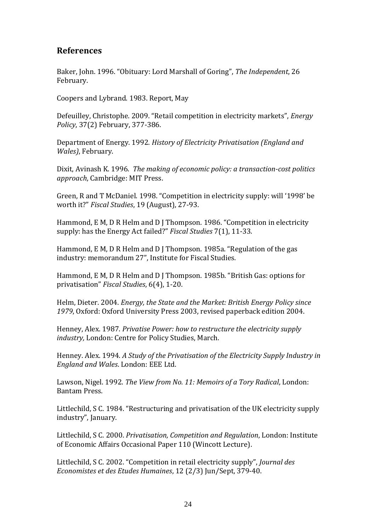## **References**

Baker, John. 1996. "Obituary: Lord Marshall of Goring", *The Independent*, 26 February.

Coopers and Lybrand. 1983. Report, May

Defeuilley, Christophe. 2009. "Retail competition in electricity markets", *Energy Policy*, 37(2) February, 377-386.

Department of Energy. 1992. *History of Electricity Privatisation (England and Wales)*, February.

Dixit, Avinash K. 1996. *The making of economic policy: a transaction-cost politics approach*, Cambridge: MIT Press.

Green, R and T McDaniel. 1998. "Competition in electricity supply: will '1998' be worth it?" *Fiscal Studies*, 19 (August), 27-93.

Hammond, E M, D R Helm and D J Thompson. 1986. "Competition in electricity supply: has the Energy Act failed?" *Fiscal Studies* 7(1), 11-33.

Hammond, E M, D R Helm and D J Thompson. 1985a. "Regulation of the gas industry: memorandum 27", Institute for Fiscal Studies.

Hammond, E M, D R Helm and D J Thompson. 1985b. "British Gas: options for privatisation" *Fiscal Studies*, 6(4), 1-20.

Helm, Dieter. 2004. *Energy, the State and the Market: British Energy Policy since 1979*, Oxford: Oxford University Press 2003, revised paperback edition 2004.

Henney, Alex. 1987. *Privatise Power: how to restructure the electricity supply industry,* London: Centre for Policy Studies, March.

Henney. Alex. 1994. *A Study of the Privatisation of the Electricity Supply Industry in England and Wales*. London: EEE Ltd.

Lawson, Nigel. 1992. *The View from No. 11: Memoirs of a Tory Radical*, London: Bantam Press.

Littlechild, S C. 1984. "Restructuring and privatisation of the UK electricity supply industry", January.

Littlechild, S C. 2000. *Privatisation, Competition and Regulation*, London: Institute of Economic Affairs Occasional Paper 110 (Wincott Lecture).

Littlechild, S C. 2002. "Competition in retail electricity supply", *Journal des Economistes et des Etudes Humaines*, 12 (2/3) Jun/Sept, 379-40.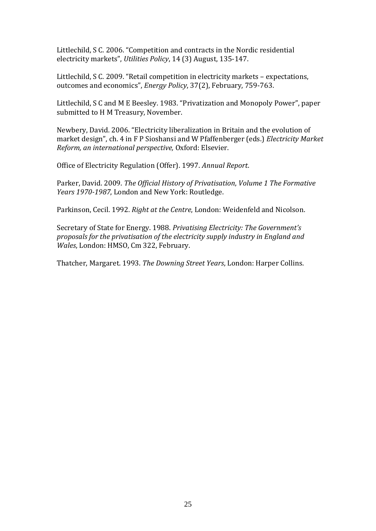Littlechild, S C. 2006. "Competition and contracts in the Nordic residential electricity markets", *Utilities Policy*, 14 (3) August, 135-147.

Littlechild, S C. 2009. "Retail competition in electricity markets – expectations, outcomes and economics", *Energy Policy*, 37(2), February, 759-763.

Littlechild, S C and M E Beesley. 1983. "Privatization and Monopoly Power", paper submitted to H M Treasury, November.

Newbery, David. 2006. "Electricity liberalization in Britain and the evolution of market design", ch. 4 in F P Sioshansi and W Pfaffenberger (eds.) *Electricity Market Reform, an international perspective,* Oxford: Elsevier.

Office of Electricity Regulation (Offer). 1997. *Annual Report*.

Parker, David. 2009. *The Official History of Privatisation*, *Volume 1 The Formative Years 1970-1987*, London and New York: Routledge.

Parkinson, Cecil. 1992. *Right at the Centre*, London: Weidenfeld and Nicolson.

Secretary of State for Energy. 1988. *Privatising Electricity: The Government's proposals for the privatisation of the electricity supply industry in England and Wales*, London: HMSO, Cm 322, February.

Thatcher, Margaret. 1993. *The Downing Street Years*, London: Harper Collins.